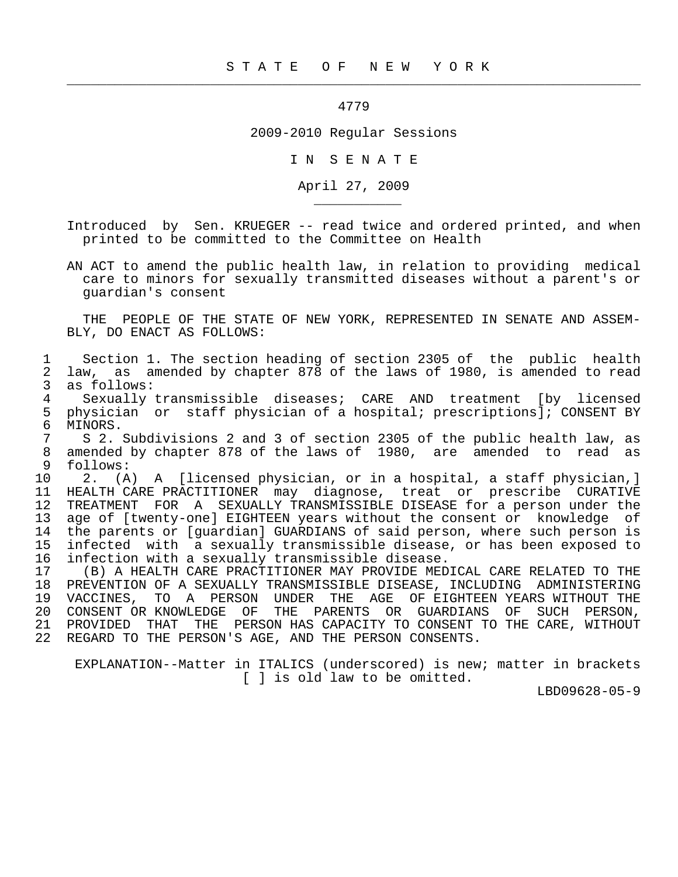4779

 $\frac{1}{2}$  , and the contract of the contract of the contract of the contract of the contract of the contract of the contract of the contract of the contract of the contract of the contract of the contract of the contract

\_\_\_\_\_\_\_\_\_\_\_

2009-2010 Regular Sessions

I N S E N A T E

April 27, 2009

 Introduced by Sen. KRUEGER -- read twice and ordered printed, and when printed to be committed to the Committee on Health

 AN ACT to amend the public health law, in relation to providing medical care to minors for sexually transmitted diseases without a parent's or guardian's consent

 THE PEOPLE OF THE STATE OF NEW YORK, REPRESENTED IN SENATE AND ASSEM- BLY, DO ENACT AS FOLLOWS:

1 Section 1. The section heading of section 2305 of the public health<br>2 law, as amended by chapter 878 of the laws of 1980, is amended to read 2 law, as amended by chapter 878 of the laws of 1980, is amended to read 3 as follows:<br>4 Sexually 1 4 Sexually transmissible diseases; CARE AND treatment [by licensed<br>5 physician or staff physician of a hospital; prescriptions]; CONSENT BY 5 physician or staff physician of a hospital; prescriptions]; CONSENT BY<br>6 MINORS. 6 MINORS.<br>7 S 2. 7 S 2. Subdivisions 2 and 3 of section 2305 of the public health law, as<br>8 amended by chapter 878 of the laws of 1980, are amended to read as 8 amended by chapter 878 of the laws of 1980, are amended to read as 8 follows: follows: 10 2. (A) A [licensed physician, or in a hospital, a staff physician,]<br>11 HEALTH CARE PRACTITIONER may diagnose, treat or prescribe CURATIVE 11 HEALTH CARE PRACTITIONER may diagnose, treat or prescribe CURATIVE<br>12 TREATMENT FOR A SEXUALLY TRANSMISSIBLE DISEASE for a person under the 12 TREATMENT FOR A SEXUALLY TRANSMISSIBLE DISEASE for a person under the<br>13 age of [twenty-one] EIGHTEEN years without the consent or knowledge of 13 age of [twenty-one] EIGHTEEN years without the consent or knowledge of<br>14 the parents or [quardian] GUARDIANS of said person, where such person is 14 the parents or [guardian] GUARDIANS of said person, where such person is<br>15 infected with a sexually transmissible disease, or has been exposed to infected with a sexually transmissible disease, or has been exposed to 16 infection with a sexually transmissible disease. 17 (B) A HEALTH CARE PRACTITIONER MAY PROVIDE MEDICAL CARE RELATED TO THE 18 PREVENTION OF A SEXUALLY TRANSMISSIBLE DISEASE, INCLUDING ADMINISTERING<br>19 VACCINES, TO A PERSON UNDER THE AGE OF EIGHTEEN YEARS WITHOUT THE 19 VACCINES, TO A PERSON UNDER THE AGE OF EIGHTEEN YEARS WITHOUT THE 20 CONSENT OR KNOWLEDGE OF THE PARENTS OR GUARDIANS OF SUCH PERSON, THE PARENTS OR GUARDIANS OF SUCH PERSON, 21 PROVIDED THAT THE PERSON HAS CAPACITY TO CONSENT TO THE CARE, WITHOUT 22 REGARD TO THE PERSON'S AGE, AND THE PERSON CONSENTS.

 EXPLANATION--Matter in ITALICS (underscored) is new; matter in brackets [ ] is old law to be omitted.

LBD09628-05-9